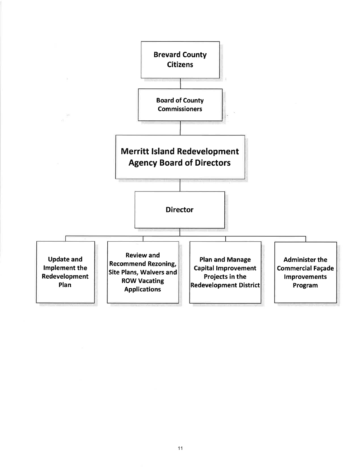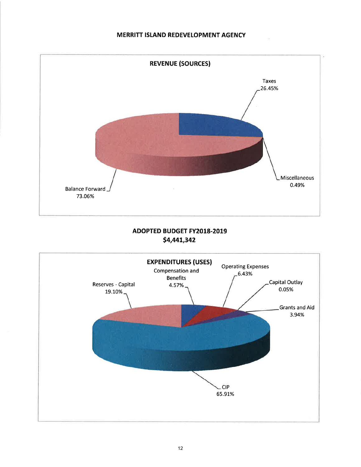

# ADOPTED BUDGET FY2018-2019 \$4,441,342

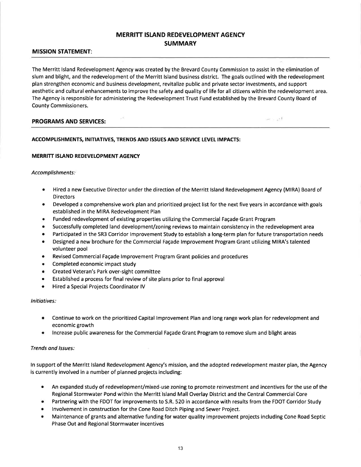### MERRITT ISLAND REDEVELOPMENT AGENCY **SUMMARY**

#### MISSION STATEMENT:

The Merritt lsland Redevelopment Agency was created by the Brevard County Commission to assist in the elimination of slum and blight, and the redevelopment of the Merritt Island business district. The goals outlined with the redevelopment plan strengthen economic and business development, revitalize public and private sector investments, and support aesthetic and cultural enhancements to improve the safety and quality of life for all citizens within the redevelopment area. The Agency is responsible for administering the Redevelopment Trust Fund established by the Brevard County Board of County Commissioners.

#### PROGRAMS AND SERVICES:

ual is pad

#### ACCOMPLISHMENTS, INITIATIVES, TRENDS AND ISSUES AND SERVICE LEVEL IMPACTS:

#### MERRITT ISLAND REDEVELOPMENT AGENCY

#### Accomplishments:

- Hired a new Executive Director under the direction of the Merritt Island Redevelopment Agency (MIRA) Board of **Directors**
- Developed a comprehensive work plan and prioritized project list for the next five years in accordance with goals established in the MIRA Redevelopment Plan
- **Funded redevelopment of existing properties utilizing the Commercial Façade Grant Program**
- Successfully completed land development/zoning reviews to maintain consistency in the redevelopment area
- Participated in the SR3 Corridor Improvement Study to establish a long-term plan for future transportation needs
- o Designed a new brochure for the Commercial Fagade lmprovement Program Grant utilizing MIRA's talented volunteer pool
- Revised Commercial Façade Improvement Program Grant policies and procedures
- Completed economic impact study
- Created Veteran's Park over-sight committee
- . Established a process for final review of site plans prior to final approval
- **Hired a Special Projects Coordinator IV**

#### lnitiatives:

- Continue to work on the prioritized Capital lmprovement Plan and long range work plan for redevelopment and economic growth a
- lncrease public awareness for the Commercial Fagade Grant Program to remove slum and blight areas a

#### Trends ond lssues:

ln support of the Merritt lsland Redevelopment Agency's mission, and the adopted redevelopment master plan, the Agency is currently involved in a number of planned projects including:

- o An expanded study of redevelopment/mixed-use zoning to promote reinvestment and incentives for the use of the Regional Stormwater Pond within the Merritt lsland Mall Overlay District and the Central Commercial Core
- Partnering with the FDOT for improvements to S.R. 520 in accordance with results from the FDOT Corridor Study
- Involvement in construction for the Cone Road Ditch Piping and Sewer Project.
- o Maintenance of grants and alternative funding for water quality improvement projects including Cone Road Septic Phase Out and Regional Stormwater incentives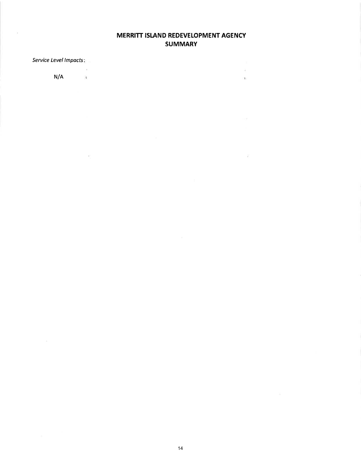## MERRITT ISLAND REDEVELOPMENT AGENCY **SUMMARY**

 $\bar{\epsilon}$ 

 $\mathbf{R}^{\mathrm{c}}$ 

 $\sim 10^{-1}$ 

Service Level Impacts:

 $\chi$ 

 $N/A$ 

 $\sim$ 

 $\mathcal{L}^{\text{c}}$  .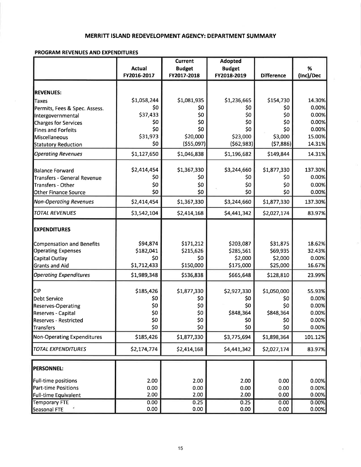#### MERRITT ISLAND REDEVELOPMENT AGENCY: DEPARTMENT SUMMARY

#### **PROGRAM REVENUES AND EXPENDITURES**

|                                   |               | <b>Current</b>  | <b>Adopted</b> |                   |           |
|-----------------------------------|---------------|-----------------|----------------|-------------------|-----------|
|                                   | <b>Actual</b> | <b>Budget</b>   | <b>Budget</b>  |                   | $\%$      |
|                                   | FY2016-2017   | FY2017-2018     | FY2018-2019    | <b>Difference</b> | (Inc)/Dec |
|                                   |               |                 |                |                   |           |
| <b>REVENUES:</b>                  |               |                 |                |                   |           |
| Taxes                             | \$1,058,244   | \$1,081,935     | \$1,236,665    | \$154,730         | 14.30%    |
| Permits, Fees & Spec. Assess.     | \$0           | \$0             | \$0            | \$0               | 0.00%     |
| Intergovernmental                 | \$37,433      | \$0             | \$0            | \$0               | 0.00%     |
| <b>Charges for Services</b>       | \$0           | \$0             | \$0            | \$0               | 0.00%     |
| Fines and Forfeits                | \$0           | \$0             | \$0            | \$0               | 0.00%     |
| Miscellaneous                     | \$31,973      | \$20,000        | \$23,000       | \$3,000           | 15.00%    |
| <b>Statutory Reduction</b>        | \$0           | ( \$55,097)     | (562,983)      | (57,886)          | 14.31%    |
| <b>Operating Revenues</b>         | \$1,127,650   | \$1,046,838     | \$1,196,682    | \$149,844         | 14.31%    |
| Balance Forward                   | \$2,414,454   | \$1,367,330     | \$3,244,660    | \$1,877,330       | 137.30%   |
| Transfers - General Revenue       | \$0           | \$0             | \$0            | \$0               | 0.00%     |
| Transfers - Other                 | \$0           | \$0             | \$0            | \$0               | 0.00%     |
| Other Finance Source              | \$0           | \$0             | \$0            | \$0               | 0.00%     |
| <b>Non-Operating Revenues</b>     | \$2,414,454   | \$1,367,330     | \$3,244,660    | \$1,877,330       | 137.30%   |
| <b>TOTAL REVENUES</b>             | \$3,542,104   | \$2,414,168     | \$4,441,342    | \$2,027,174       | 83.97%    |
|                                   |               |                 |                |                   |           |
| <b>EXPENDITURES</b>               |               |                 |                |                   |           |
| Compensation and Benefits         | \$94,874      | \$171,212       | \$203,087      | \$31,875          | 18.62%    |
| <b>Operating Expenses</b>         | \$182,041     | \$215,626       | \$285,561      | \$69,935          | 32.43%    |
| Capital Outlay                    | \$0           | \$0             | \$2,000        | \$2,000           | 0.00%     |
| <b>Grants and Aid</b>             | \$1,712,433   | \$150,000       | \$175,000      | \$25,000          | 16.67%    |
| <b>Operating Expenditures</b>     | \$1,989,348   | \$536,838       | \$665,648      | \$128,810         | 23.99%    |
| <b>CIP</b>                        |               |                 |                |                   | 55.93%    |
|                                   | \$185,426     | \$1,877,330     | \$2,927,330    | \$1,050,000       |           |
| <b>Debt Service</b>               | \$0           | \$0             | \$0            | \$0               | 0.00%     |
| <b>Reserves-Operating</b>         | \$0           | \$0             | \$0            | \$0               | 0.00%     |
| Reserves - Capital                | \$0           | \$0             | \$848,364      | \$848,364         | 0.00%     |
| Reserves - Restricted             | \$0           | 50 <sub>2</sub> | \$0            | \$0               | റ ററ%ി    |
| <b>Transfers</b>                  | \$0           | \$0             | \$0            | \$0               | 0.00%     |
| <b>Non-Operating Expenditures</b> | \$185,426     | \$1,877,330     | \$3,775,694    | \$1,898,364       | 101.12%   |
| <b>TOTAL EXPENDITURES</b>         | \$2,174,774   | \$2,414,168     | \$4,441,342    | \$2,027,174       | 83.97%    |
| PERSONNEL:                        |               |                 |                |                   |           |
| Full-time positions               | 2.00          | 2.00            | 2.00           | 0.00              | 0.00%     |
| <b>Part-time Positions</b>        | 0.00          | 0.00            | 0.00           | 0.00              | 0.00%     |
| Full-time Equivalent              | 2.00          | 2.00            | 2.00           | 0.00              | 0.00%     |
| <b>Temporary FTE</b>              | 0.00          | 0.25            | 0.25           | 0.00              | 0.00%     |
| Seasonal FTE                      | 0.00          | 0.00            | 0.00           | 0.00              | 0.00%     |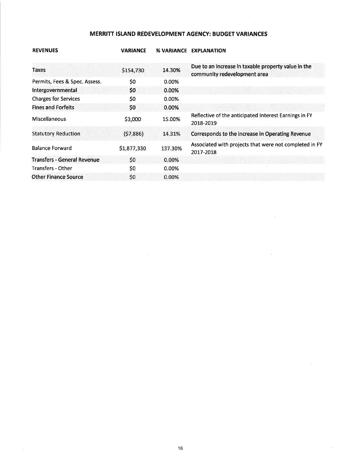# MERRITT ISLAND REDEVELOPMENT AGENCY: BUDGET VARIANCES

| <b>REVENUES</b>                    | <b>VARIANCE</b> | <b>% VARIANCE</b> | <b>EXPLANATION</b>                                                                  |
|------------------------------------|-----------------|-------------------|-------------------------------------------------------------------------------------|
| Taxes                              | \$154,730       | 14.30%            | Due to an increase in taxable property value in the<br>community redevelopment area |
| Permits, Fees & Spec. Assess.      | \$0             | 0.00%             |                                                                                     |
| Intergovernmental                  | \$0             | 0.00%             |                                                                                     |
| <b>Charges for Services</b>        | \$0             | 0.00%             |                                                                                     |
| <b>Fines and Forfeits</b>          | \$0             | 0.00%             |                                                                                     |
| Miscellaneous                      | \$3,000         | 15.00%            | Reflective of the anticipated Interest Earnings in FY<br>2018-2019                  |
| <b>Statutory Reduction</b>         | (57,886)        | 14.31%            | Corresponds to the increase in Operating Revenue                                    |
| <b>Balance Forward</b>             | \$1,877,330     | 137.30%           | Associated with projects that were not completed in FY<br>2017-2018                 |
| <b>Transfers - General Revenue</b> | \$0             | 0.00%             |                                                                                     |
| Transfers - Other                  | \$0             | 0.00%             |                                                                                     |
| <b>Other Finance Source</b>        | \$0             | 0.00%             |                                                                                     |

 $\sim 10$ 

 $\sim 100$ 

 $\omega$ 

 $\overline{\alpha}$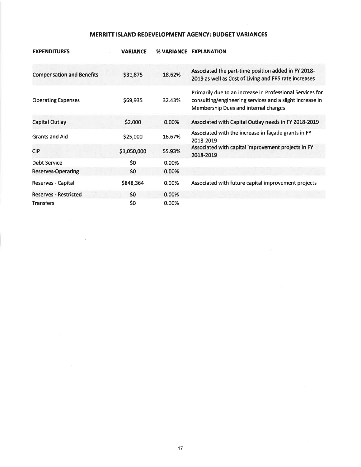## MERRITT ISLAND REDEVELOPMENT AGENCY: BUDGET VARIANCES

| <b>EXPENDITURES</b>              | <b>VARIANCE</b> |        | <b>% VARIANCE EXPLANATION</b>                                                                                                                                 |
|----------------------------------|-----------------|--------|---------------------------------------------------------------------------------------------------------------------------------------------------------------|
| <b>Compensation and Benefits</b> | \$31,875        | 18.62% | Associated the part-time position added in FY 2018-<br>2019 as well as Cost of Living and FRS rate increases                                                  |
| <b>Operating Expenses</b>        | \$69,935        | 32.43% | Primarily due to an increase in Professional Services for<br>consulting/engineering services and a slight increase in<br>Membership Dues and internal charges |
| <b>Capital Outlay</b>            | \$2,000         | 0.00%  | Associated with Capital Outlay needs in FY 2018-2019                                                                                                          |
| <b>Grants and Aid</b>            | \$25,000        | 16.67% | Associated with the increase in façade grants in FY<br>2018-2019                                                                                              |
| <b>CIP</b>                       | \$1,050,000     | 55.93% | Associated with capital improvement projects in FY<br>2018-2019                                                                                               |
| <b>Debt Service</b>              | \$0             | 0.00%  |                                                                                                                                                               |
| <b>Reserves-Operating</b>        | \$0             | 0.00%  |                                                                                                                                                               |
| Reserves - Capital               | \$848,364       | 0.00%  | Associated with future capital improvement projects                                                                                                           |
| <b>Reserves - Restricted</b>     | \$0             | 0.00%  |                                                                                                                                                               |
| <b>Transfers</b>                 | \$0             | 0.00%  |                                                                                                                                                               |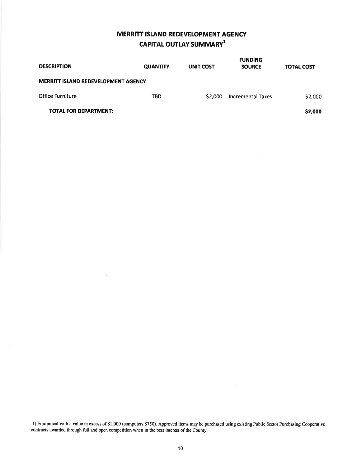# MERRITT ISIAND REDEVELOPMENT AGENCY CAPITAL OUTLAY SUMMARY<sup>1</sup>

| <b>DESCRIPTION</b>                         | <b>QUANTITY</b> | UNIT COST | <b>FUNDING</b><br><b>SOURCE</b> | <b>TOTAL COST</b> |
|--------------------------------------------|-----------------|-----------|---------------------------------|-------------------|
| <b>MERRITT ISLAND REDEVELOPMENT AGENCY</b> |                 |           |                                 |                   |
| <b>Office Furniture</b>                    | TBD             | \$2,000   | <b>Incremental Taxes</b>        | \$2,000           |
| <b>TOTAL FOR DEPARTMENT:</b>               |                 |           |                                 | \$2,000           |

l) Equipment with a value in excess of\$1,000 (computers \$750). Approved items may be purchased using existing Public Ssctor Purchasing Cooperative contracts awarded through full and open competition when in the best interest of the County.

G)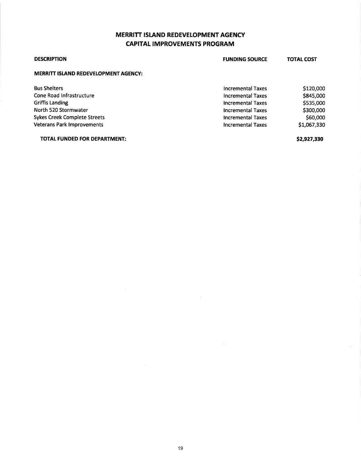# MERRITT ISLAND REDEVELOPMENT AGENCY CAPITAL IMPROVEMENTS PROGRAM

| <b>DESCRIPTION</b>                          | <b>FUNDING SOURCE</b>    | <b>TOTAL COST</b> |
|---------------------------------------------|--------------------------|-------------------|
| <b>MERRITT ISLAND REDEVELOPMENT AGENCY:</b> |                          |                   |
| <b>Bus Shelters</b>                         | <b>Incremental Taxes</b> | \$120,000         |
| Cone Road Infrastructure                    | Incremental Taxes        | \$845,000         |
| Griffis Landing                             | <b>Incremental Taxes</b> | \$535,000         |
| North 520 Stormwater                        | <b>Incremental Taxes</b> | \$300,000         |
| <b>Sykes Creek Complete Streets</b>         | <b>Incremental Taxes</b> | \$60,000          |
| <b>Veterans Park Improvements</b>           | <b>Incremental Taxes</b> | \$1,067,330       |

TOTAL FUNDED FOR DEPARTMENT:

52,927,93o

 $\gamma_{\vec{k}}$ 

 $\sim$